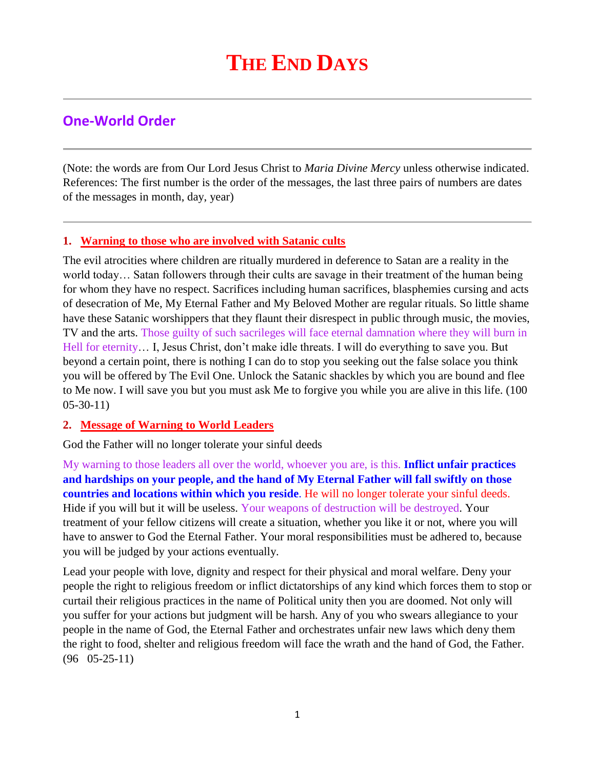# **One-World Order**

(Note: the words are from Our Lord Jesus Christ to *Maria Divine Mercy* unless otherwise indicated. References: The first number is the order of the messages, the last three pairs of numbers are dates of the messages in month, day, year)

## **1. [Warning to those who are involved with Satanic cults](http://www.thewarningsecondcoming.com/warning-to-those-who-are-involved-with-sata)**

The evil atrocities where children are ritually murdered in deference to Satan are a reality in the world today… Satan followers through their cults are savage in their treatment of the human being for whom they have no respect. Sacrifices including human sacrifices, blasphemies cursing and acts of desecration of Me, My Eternal Father and My Beloved Mother are regular rituals. So little shame have these Satanic worshippers that they flaunt their disrespect in public through music, the movies, TV and the arts. Those guilty of such sacrileges will face eternal damnation where they will burn in Hell for eternity... I, Jesus Christ, don't make idle threats. I will do everything to save you. But beyond a certain point, there is nothing I can do to stop you seeking out the false solace you think you will be offered by The Evil One. Unlock the Satanic shackles by which you are bound and flee to Me now. I will save you but you must ask Me to forgive you while you are alive in this life. (100 05-30-11)

### **2. [Message of Warning to World Leaders](http://www.thewarningsecondcoming.com/message-of-warning-to-world-leaders/)**

God the Father will no longer tolerate your sinful deeds

My warning to those leaders all over the world, whoever you are, is this. **Inflict unfair practices and hardships on your people, and the hand of My Eternal Father will fall swiftly on those countries and locations within which you reside**. He will no longer tolerate your sinful deeds. Hide if you will but it will be useless. Your weapons of destruction will be destroyed. Your treatment of your fellow citizens will create a situation, whether you like it or not, where you will have to answer to God the Eternal Father. Your moral responsibilities must be adhered to, because you will be judged by your actions eventually.

Lead your people with love, dignity and respect for their physical and moral welfare. Deny your people the right to religious freedom or inflict dictatorships of any kind which forces them to stop or curtail their religious practices in the name of Political unity then you are doomed. Not only will you suffer for your actions but judgment will be harsh. Any of you who swears allegiance to your people in the name of God, the Eternal Father and orchestrates unfair new laws which deny them the right to food, shelter and religious freedom will face the wrath and the hand of God, the Father. (96 05-25-11)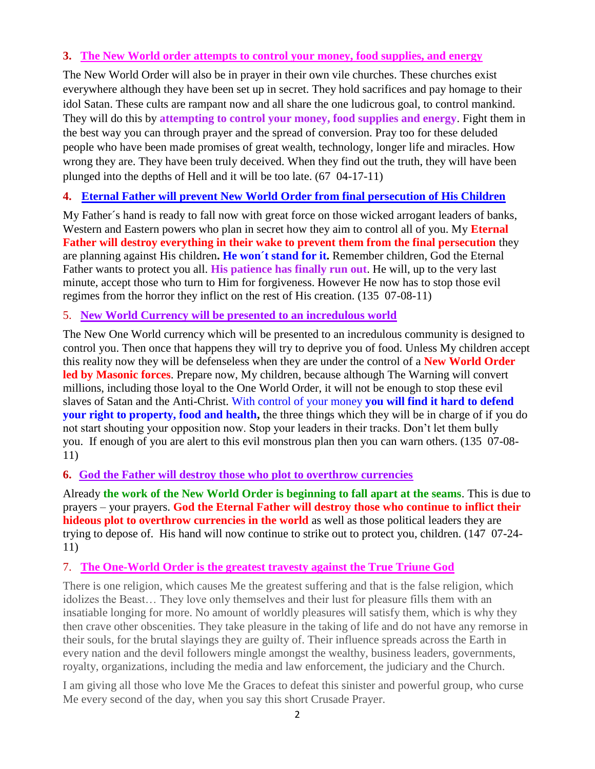### **3. The New World order attempts to control your money, food supplies, and energy**

The New World Order will also be in prayer in their own vile churches. These churches exist everywhere although they have been set up in secret. They hold sacrifices and pay homage to their idol Satan. These cults are rampant now and all share the one ludicrous goal, to control mankind. They will do this by **attempting to control your money, food supplies and energy**. Fight them in the best way you can through prayer and the spread of conversion. Pray too for these deluded people who have been made promises of great wealth, technology, longer life and miracles. How wrong they are. They have been truly deceived. When they find out the truth, they will have been plunged into the depths of Hell and it will be too late. (67 04-17-11)

# **4. [Eternal Father will prevent New World Order from final persecution of His Children](http://www.thewarningsecondcoming.com/eternal-father-will-prevent-new-world-order-from-final-persecution-of-his-children/)**

My Father´s hand is ready to fall now with great force on those wicked arrogant leaders of banks, Western and Eastern powers who plan in secret how they aim to control all of you. My **Eternal Father will destroy everything in their wake to prevent them from the final persecution** they are planning against His children**. He won´t stand for it.** Remember children, God the Eternal Father wants to protect you all. **His patience has finally run out**. He will, up to the very last minute, accept those who turn to Him for forgiveness. However He now has to stop those evil regimes from the horror they inflict on the rest of His creation. (135 07-08-11)

### 5. **New World Currency will be presented to an incredulous world**

The New One World currency which will be presented to an incredulous community is designed to control you. Then once that happens they will try to deprive you of food. Unless My children accept this reality now they will be defenseless when they are under the control of a **New World Order led by Masonic forces**. Prepare now, My children, because although The Warning will convert millions, including those loyal to the One World Order, it will not be enough to stop these evil slaves of Satan and the Anti-Christ. With control of your money **you will find it hard to defend your right to property, food and health,** the three things which they will be in charge of if you do not start shouting your opposition now. Stop your leaders in their tracks. Don't let them bully you. If enough of you are alert to this evil monstrous plan then you can warn others. (135 07-08- 11)

### **6. [God the Father will destroy those who plot to overthrow currencies](http://www.thewarningsecondcoming.com/god-the-father-will-destroy-the-plot-to-overthrow-currencies/)**

Already **the work of the New World Order is beginning to fall apart at the seams**. This is due to prayers – your prayers. **God the Eternal Father will destroy those who continue to inflict their hideous plot to overthrow currencies in the world** as well as those political leaders they are trying to depose of. His hand will now continue to strike out to protect you, children. (147 07-24- 11)

### 7. **[The One-World Order is the greatest travesty against the True Triune God](http://www.thewarningsecondcoming.com/the-one-world-order-is-the-greatest-travesty-against-the-true-triune-god/)**

There is one religion, which causes Me the greatest suffering and that is the false religion, which idolizes the Beast… They love only themselves and their lust for pleasure fills them with an insatiable longing for more. No amount of worldly pleasures will satisfy them, which is why they then crave other obscenities. They take pleasure in the taking of life and do not have any remorse in their souls, for the brutal slayings they are guilty of. Their influence spreads across the Earth in every nation and the devil followers mingle amongst the wealthy, business leaders, governments, royalty, organizations, including the media and law enforcement, the judiciary and the Church.

I am giving all those who love Me the Graces to defeat this sinister and powerful group, who curse Me every second of the day, when you say this short Crusade Prayer.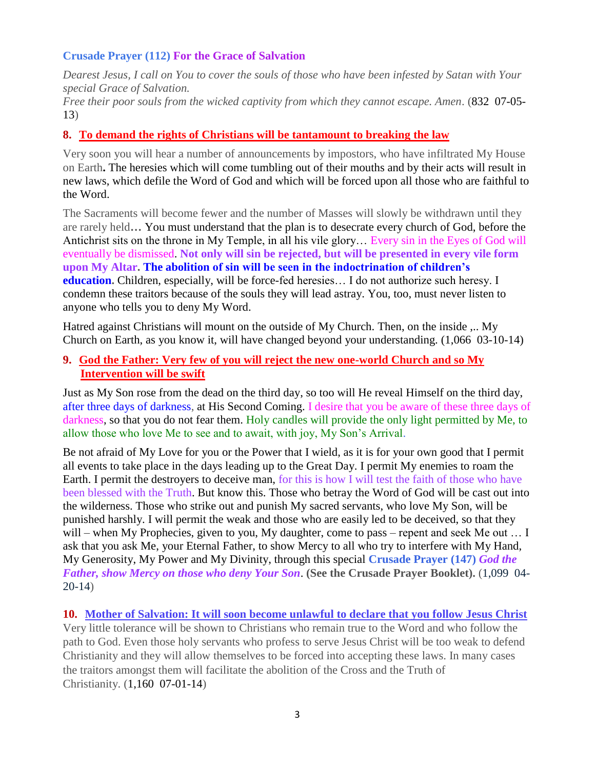#### **Crusade Prayer (112) For the Grace of Salvation**

*Dearest Jesus, I call on You to cover the souls of those who have been infested by Satan with Your special Grace of Salvation.*

*Free their poor souls from the wicked captivity from which they cannot escape. Amen*. (832 07-05- 13)

#### **8. [To demand the rights of Christians will be tantamount to breaking the law](http://www.thewarningsecondcoming.com/to-demand-the-rights-of-christians-will-be-tantamount-to-breaking-the-law/)**

Very soon you will hear a number of announcements by impostors, who have infiltrated My House on Earth**.** The heresies which will come tumbling out of their mouths and by their acts will result in new laws, which defile the Word of God and which will be forced upon all those who are faithful to the Word.

The Sacraments will become fewer and the number of Masses will slowly be withdrawn until they are rarely held**…** You must understand that the plan is to desecrate every church of God, before the Antichrist sits on the throne in My Temple, in all his vile glory… Every sin in the Eyes of God will eventually be dismissed. **Not only will sin be rejected, but will be presented in every vile form upon My Altar. The abolition of sin will be seen in the indoctrination of children's education.** Children, especially, will be force-fed heresies... I do not authorize such heresy. I condemn these traitors because of the souls they will lead astray. You, too, must never listen to anyone who tells you to deny My Word.

Hatred against Christians will mount on the outside of My Church. Then, on the inside ,.. My Church on Earth, as you know it, will have changed beyond your understanding. (1,066 03-10-14)

#### **9. [God the Father: Very few of you will reject the new one-world Church and so My](http://www.thewarningsecondcoming.com/god-the-father-very-few-of-you-will-reject-the-new-one-world-church-and-so-my-intervention-will-be-swift/)  [Intervention will be swift](http://www.thewarningsecondcoming.com/god-the-father-very-few-of-you-will-reject-the-new-one-world-church-and-so-my-intervention-will-be-swift/)**

Just as My Son rose from the dead on the third day, so too will He reveal Himself on the third day, after three days of darkness, at His Second Coming. I desire that you be aware of these three days of darkness, so that you do not fear them. Holy candles will provide the only light permitted by Me, to allow those who love Me to see and to await, with joy, My Son's Arrival.

Be not afraid of My Love for you or the Power that I wield, as it is for your own good that I permit all events to take place in the days leading up to the Great Day. I permit My enemies to roam the Earth. I permit the destroyers to deceive man, for this is how I will test the faith of those who have been blessed with the Truth. But know this. Those who betray the Word of God will be cast out into the wilderness. Those who strike out and punish My sacred servants, who love My Son, will be punished harshly. I will permit the weak and those who are easily led to be deceived, so that they will – when My Prophecies, given to you, My daughter, come to pass – repent and seek Me out ... I ask that you ask Me, your Eternal Father, to show Mercy to all who try to interfere with My Hand, My Generosity, My Power and My Divinity, through this special **Crusade Prayer (147)** *God the Father, show Mercy on those who deny Your Son*. **(See the Crusade Prayer Booklet).** (1,099 04- 20-14)

**10. [Mother of Salvation: It will soon become unlawful to declare that you follow Jesus Christ](http://www.thewarningsecondcoming.com/mother-of-salvation-it-will-soon-become-unlawful-to-declare-that-you-follow-jesus-christ/)** Very little tolerance will be shown to Christians who remain true to the Word and who follow the path to God. Even those holy servants who profess to serve Jesus Christ will be too weak to defend Christianity and they will allow themselves to be forced into accepting these laws. In many cases the traitors amongst them will facilitate the abolition of the Cross and the Truth of Christianity. (1,160 07-01-14)